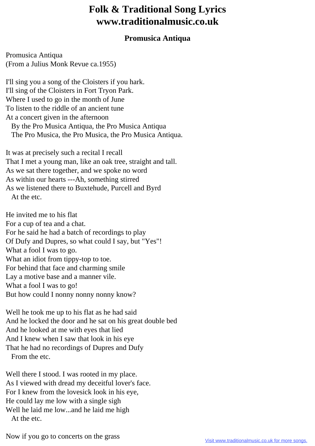## **Folk & Traditional Song Lyrics www.traditionalmusic.co.uk**

## **Promusica Antiqua**

Promusica Antiqua (From a Julius Monk Revue ca.1955)

I'll sing you a song of the Cloisters if you hark. I'll sing of the Cloisters in Fort Tryon Park. Where I used to go in the month of June To listen to the riddle of an ancient tune At a concert given in the afternoon By the Pro Musica Antiqua, the Pro Musica Antiqua The Pro Musica, the Pro Musica, the Pro Musica Antiqua.

It was at precisely such a recital I recall That I met a young man, like an oak tree, straight and tall. As we sat there together, and we spoke no word As within our hearts ---Ah, something stirred As we listened there to Buxtehude, Purcell and Byrd At the etc.

He invited me to his flat For a cup of tea and a chat. For he said he had a batch of recordings to play Of Dufy and Dupres, so what could I say, but "Yes"! What a fool I was to go. What an idiot from tippy-top to toe. For behind that face and charming smile Lay a motive base and a manner vile. What a fool I was to go! But how could I nonny nonny nonny know?

Well he took me up to his flat as he had said And he locked the door and he sat on his great double bed And he looked at me with eyes that lied And I knew when I saw that look in his eye That he had no recordings of Dupres and Dufy From the etc.

Well there I stood. I was rooted in my place. As I viewed with dread my deceitful lover's face. For I knew from the lovesick look in his eye, He could lay me low with a single sigh Well he laid me low...and he laid me high At the etc.

Now if you go to concerts on the grass